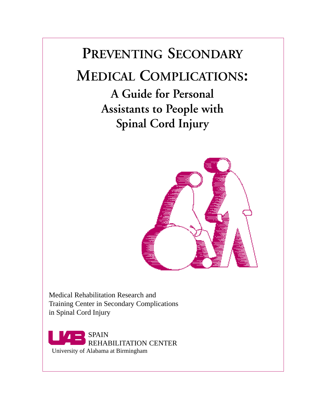# **PREVENTING SECONDARY MEDICAL COMPLICATIONS:**

**A Guide for Personal Assistants to People with Spinal Cord Injury**



Medical Rehabilitation Research and Training Center in Secondary Complications in Spinal Cord Injury

SPAIN REHABILITATION CENTER University of Alabama at Birmingham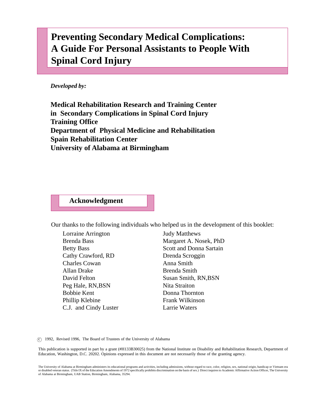# **Preventing Secondary Medical Complications: A Guide For Personal Assistants to People With Spinal Cord Injury**

*Developed by:*

**Medical Rehabilitation Research and Training Center in Secondary Complications in Spinal Cord Injury Training Office Department of Physical Medicine and Rehabilitation Spain Rehabilitation Center University of Alabama at Birmingham**

#### **Acknowledgment**

Our thanks to the following individuals who helped us in the development of this booklet:

Lorraine Arrington Brenda Bass Betty Bass Cathy Crawford, RD Charles Cowan Allan Drake David Felton Peg Hale, RN,BSN Bobbie Kent Phillip Klebine C.J. and Cindy Luster

Judy Matthews Margaret A. Nosek, PhD Scott and Donna Sartain Drenda Scroggin Anna Smith Brenda Smith Susan Smith, RN,BSN Nita Straiton Donna Thornton Frank Wilkinson Larrie Waters

c 1992, Revised 1996, The Board of Trustees of the University of Alabama

This publication is supported in part by a grant (#H133B30025) from the National Institute on Disability and Rehabilitation Research, Department of Education, Washington, D.C. 20202. Opinions expressed in this document are not necessarily those of the granting agency.

The University of Alabama at Birmingham administers its educational programs and activities, including admissions, without regard to race, color, religion, sex, national origin, handicap or Vietnam era or disabled veteran status. (Title IX of the Education Amendments of 1972 specifically prohibits discrimination on the basis of sex.) Direct inquires to Academic Affirmative Action Officer, The University<br>of Alabama at Bir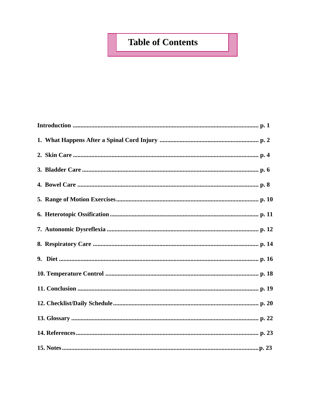# **Table of Contents**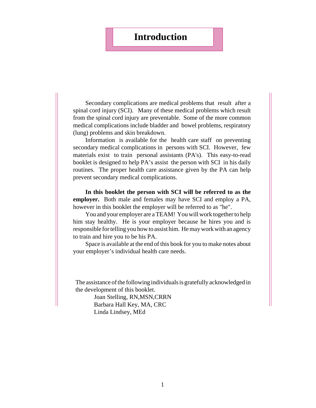### **Introduction**

Secondary complications are medical problems that result after a spinal cord injury (SCI). Many of these medical problems which result from the spinal cord injury are preventable. Some of the more common medical complications include bladder and bowel problems, respiratory (lung) problems and skin breakdown.

Information is available for the health care staff on preventing secondary medical complications in persons with SCI. However, few materials exist to train personal assistants (PA's). This easy-to-read booklet is designed to help PA's assist the person with SCI in his daily routines. The proper health care assistance given by the PA can help prevent secondary medical complications.

**In this booklet the person with SCI will be referred to as the employer.** Both male and females may have SCI and employ a PA, however in this booklet the employer will be referred to as "he".

You and your employer are a TEAM! You will work together to help him stay healthy. He is your employer because he hires you and is responsible for telling you how to assist him. He may work with an agency to train and hire you to be his PA.

Space is available at the end of this book for you to make notes about your employer's individual health care needs.

The assistance of the following individuals is gratefully acknowledged in the development of this booklet.

> Joan Stelling, RN,MSN,CRRN Barbara Hall Key, MA, CRC Linda Lindsey, MEd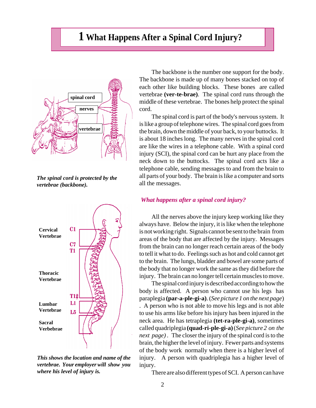### **1 What Happens After a Spinal Cord Injury?**



*The spinal cord is protected by the vertebrae (backbone).*



*This shows the location and name of the vertebrae. Your employer will show you where his level of injury is.*

The backbone is the number one support for the body. The backbone is made up of many bones stacked on top of each other like building blocks. These bones are called vertebrae **(ver-te-brae)**. The spinal cord runs through the middle of these vertebrae. The bones help protect the spinal cord.

The spinal cord is part of the body's nervous system. It is like a group of telephone wires. The spinal cord goes from the brain, down the middle of your back, to your buttocks. It is about 18 inches long. The many nerves in the spinal cord are like the wires in a telephone cable. With a spinal cord injury (SCI), the spinal cord can be hurt any place from the neck down to the buttocks. The spinal cord acts like a telephone cable, sending messages to and from the brain to all parts of your body. The brain is like a computer and sorts all the messages.

#### *What happens after a spinal cord injury?*

All the nerves above the injury keep working like they always have. Below the injury, it is like when the telephone is not working right. Signals cannot be sent to the brain from areas of the body that are affected by the injury. Messages from the brain can no longer reach certain areas of the body to tell it what to do. Feelings such as hot and cold cannot get to the brain. The lungs, bladder and bowel are some parts of the body that no longer work the same as they did before the injury. The brain can no longer tell certain muscles to move.

The spinal cord injury is described according to how the body is affected. A person who cannot use his legs has paraplegia **(par-a-ple-gi-a)**. (*See picture 1 on the next page*) . A person who is not able to move his legs and is not able to use his arms like before his injury has been injured in the neck area. He has tetraplegia **(tet-ra-ple-gi-a)**, sometimes called quadriplegia **(quad-ri-ple-gi-a)** (*See picture 2 on the next page)* . The closer the injury of the spinal cord is to the brain, the higher the level of injury. Fewer parts and systems of the body work normally when there is a higher level of injury. A person with quadriplegia has a higher level of injury.

There are also different types of SCI. A person can have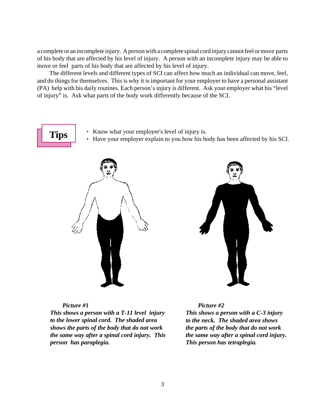a complete or an incomplete injury. A person with a complete spinal cord injury cannot feel or move parts of his body that are affected by his level of injury. A person with an incomplete injury may be able to move or feel parts of his body that are affected by his level of injury.

The different levels and different types of SCI can affect how much an individual can move, feel, and do things for themselves. This is why it is important for your employer to have a personal assistant (PA) help with his daily routines. Each person's injury is different. Ask your employer what his "level of injury" is. Ask what parts of the body work differently because of the SCI.

**Tips** • Know what your employer's level of injury is.

• Have your employer explain to you how his body has been affected by his SCI.





#### *Picture #1*

*This shows a person with a T-11 level injury to the lower spinal cord. The shaded area shows the parts of the body that do not work the same way after a spinal cord injury. This person has paraplegia.*

*Picture #2 This shows a person with a C-3 injury to the neck. The shaded area shows the parts of the body that do not work the same way after a spinal cord injury. This person has tetraplegia.*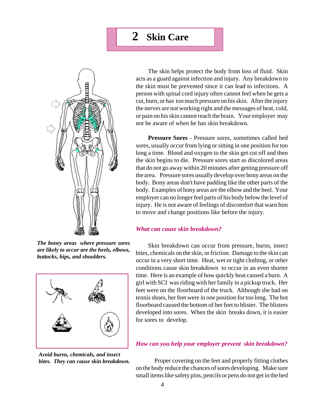

*The boney areas where pressure sores are likely to occur are the heels, elbows, buttocks, hips, and shoulders.*



*Avoid burns, chemicals, and insect bites. They can cause skin breakdown.*

The skin helps protect the body from loss of fluid. Skin acts as a guard against infection and injury. Any breakdown to the skin must be prevented since it can lead to infections. A person with spinal cord injury often cannot feel when he gets a cut, burn, or has too much pressure on his skin. After the injury the nerves are not working right and the messages of heat, cold, or pain on his skin cannot reach the brain. Your employer may not be aware of when he has skin breakdown.

**Pressure Sores** - Pressure sores, sometimes called bed sores, usually occur from lying or sitting in one position for too long a time. Blood and oxygen to the skin get cut off and then the skin begins to die. Pressure sores start as discolored areas that do not go away within 20 minutes after getting pressure off the area. Pressure sores usually develop over bony areas on the body. Bony areas don't have padding like the other parts of the body. Examples of bony areas are the elbow and the heel. Your employer can no longer feel parts of his body below the level of injury. He is not aware of feelings of discomfort that warn him to move and change positions like before the injury.

#### *What can cause skin breakdown?*

Skin breakdown can occur from pressure, burns, insect bites, chemicals on the skin, or friction. Damage to the skin can occur in a very short time. Heat, wet or tight clothing, or other conditions cause skin breakdown to occur in an even shorter time. Here is an example of how quickly heat caused a burn. A girl with SCI was riding with her family in a pickup truck. Her feet were on the floorboard of the truck. Although she had on tennis shoes, her feet were in one position for too long. The hot floorboard caused the bottom of her feet to blister. The blisters developed into sores. When the skin breaks down, it is easier for sores to develop.

#### *How can you help your employer prevent skin breakdown?*

Proper covering on the feet and properly fitting clothes on the body reduce the chances of sores developing. Make sure small items like safety pins, pencils or pens do not get in the bed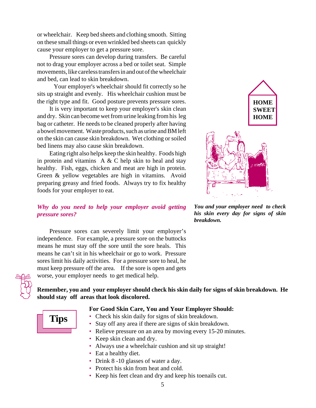or wheelchair. Keep bed sheets and clothing smooth. Sitting on these small things or even wrinkled bed sheets can quickly cause your employer to get a pressure sore.

Pressure sores can develop during transfers. Be careful not to drag your employer across a bed or toilet seat. Simple movements, like careless transfers in and out of the wheelchair and bed, can lead to skin breakdown.

 Your employer's wheelchair should fit correctly so he sits up straight and evenly. His wheelchair cushion must be the right type and fit. Good posture prevents pressure sores.

It is very important to keep your employer's skin clean and dry. Skin can become wet from urine leaking from his leg bag or catheter. He needs to be cleaned properly after having a bowel movement. Waste products, such as urine and BM left on the skin can cause skin breakdown. Wet clothing or soiled bed linens may also cause skin breakdown.

Eating right also helps keep the skin healthy. Foods high in protein and vitamins A  $&$  C help skin to heal and stay healthy. Fish, eggs, chicken and meat are high in protein. Green & yellow vegetables are high in vitamins. Avoid preparing greasy and fried foods. Always try to fix healthy foods for your employer to eat.

#### *Why do you need to help your employer avoid getting pressure sores?*

Pressure sores can severely limit your employer's independence. For example, a pressure sore on the buttocks means he must stay off the sore until the sore heals. This means he can't sit in his wheelchair or go to work. Pressure sores limit his daily activities. For a pressure sore to heal, he must keep pressure off the area. If the sore is open and gets worse, your employer needs to get medical help.



*You and your employer need to check his skin every day for signs of skin breakdown.*



#### **Remember, you and your employer should check his skin daily for signs of skin breakdown. He should stay off areas that look discolored.**

#### **For Good Skin Care, You and Your Employer Should:**

**Tips**

- Check his skin daily for signs of skin breakdown. • Stay off any area if there are signs of skin breakdown.
- Relieve pressure on an area by moving every 15-20 minutes.
- Keep skin clean and dry.
- Always use a wheelchair cushion and sit up straight!
- Eat a healthy diet.
- Drink 8 -10 glasses of water a day.
- Protect his skin from heat and cold.
- Keep his feet clean and dry and keep his toenails cut.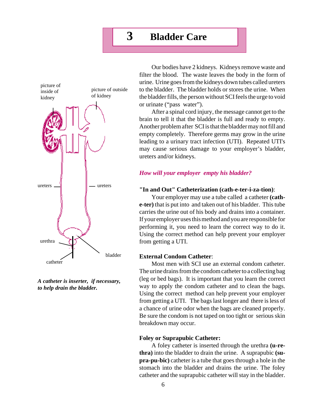# **3 Bladder Care**



*A catheter is inserter, if necessary, to help drain the bladder.*

Our bodies have 2 kidneys. Kidneys remove waste and filter the blood. The waste leaves the body in the form of urine. Urine goes from the kidneys down tubes called ureters to the bladder. The bladder holds or stores the urine. When the bladder fills, the person without SCI feels the urge to void or urinate ("pass water").

After a spinal cord injury, the message cannot get to the brain to tell it that the bladder is full and ready to empty. Another problem after SCI is that the bladder may not fill and empty completely. Therefore germs may grow in the urine leading to a urinary tract infection (UTI). Repeated UTI's may cause serious damage to your employer's bladder, ureters and/or kidneys.

#### *How will your employer empty his bladder?*

#### **"In and Out" Catheterization (cath-e-ter-i-za-tion)**:

Your employer may use a tube called a catheter **(cathe-ter)** that is put into and taken out of his bladder. This tube carries the urine out of his body and drains into a container. If your employer uses this method and you are responsible for performing it, you need to learn the correct way to do it. Using the correct method can help prevent your employer from getting a UTI.

#### **External Condom Catheter**:

Most men with SCI use an external condom catheter. The urine drains from the condom catheter to a collecting bag (leg or bed bags). It is important that you learn the correct way to apply the condom catheter and to clean the bags. Using the correct method can help prevent your employer from getting a UTI. The bags last longer and there is less of a chance of urine odor when the bags are cleaned properly. Be sure the condom is not taped on too tight or serious skin breakdown may occur.

#### **Foley or Suprapubic Catheter:**

A foley catheter is inserted through the urethra **(u-rethra)** into the bladder to drain the urine. A suprapubic **(supra-pu-bic)** catheter is a tube that goes through a hole in the stomach into the bladder and drains the urine. The foley catheter and the suprapubic catheter will stay in the bladder.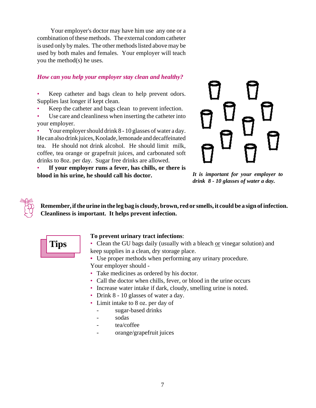Your employer's doctor may have him use any one or a combination of these methods. The external condom catheter is used only by males. The other methods listed above may be used by both males and females. Your employer will teach you the method(s) he uses.

#### *How can you help your employer stay clean and healthy?*

Keep catheter and bags clean to help prevent odors. Supplies last longer if kept clean.

- Keep the catheter and bags clean to prevent infection.
- Use care and cleanliness when inserting the catheter into your employer.

• Your employer should drink 8 - 10 glasses of water a day. He can also drink juices, Koolade, lemonade and decaffeinated tea. He should not drink alcohol. He should limit milk, coffee, tea orange or grapefruit juices, and carbonated soft drinks to 8oz. per day. Sugar free drinks are allowed.

• **If your employer runs a fever, has chills, or there is blood in his urine, he should call his doctor.**

*It is important for your employer to drink 8 - 10 glasses of water a day.*

**Remember, if the urine in the leg bag is cloudy, brown, red or smells, it could be a sign of infection. Cleanliness is important. It helps prevent infection.**



#### **To prevent urinary tract infections**:

• Clean the GU bags daily (usually with a bleach or vinegar solution) and keep supplies in a clean, dry storage place.

- **•** Use proper methods when performing any urinary procedure. Your employer should -
- Take medicines as ordered by his doctor.
- Call the doctor when chills, fever, or blood in the urine occurs
- Increase water intake if dark, cloudy, smelling urine is noted.
- Drink 8 10 glasses of water a day.
- Limit intake to 8 oz. per day of
	- sugar-based drinks
	- sodas
	- tea/coffee
	- orange/grapefruit juices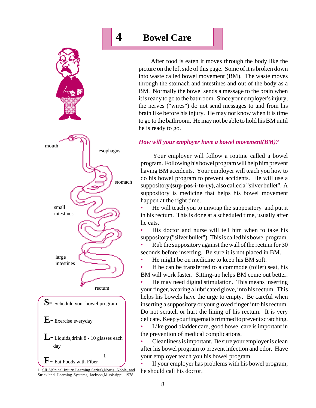

<sup>1</sup> SILS(Spinal Injury Learning Series),Norris, Noble, and Strickland, Learning Systems, Jackson,Mississippi, 1978.

# **4 Bowel Care**

After food is eaten it moves through the body like the picture on the left side of this page. Some of it is broken down into waste called bowel movement (BM). The waste moves through the stomach and intestines and out of the body as a BM. Normally the bowel sends a message to the brain when it is ready to go to the bathroom. Since your employer's injury, the nerves ("wires") do not send messages to and from his brain like before his injury. He may not know when it is time to go to the bathroom. He may not be able to hold his BM until he is ready to go.

#### *How will your employer have a bowel movement(BM)?*

Your employer will follow a routine called a bowel program. Following his bowel program will help him prevent having BM accidents. Your employer will teach you how to do his bowel program to prevent accidents. He will use a suppository **(sup-pos-i-to-ry)**, also called a "silver bullet". A suppository is medicine that helps his bowel movement happen at the right time.

• He will teach you to unwrap the suppository and put it in his rectum. This is done at a scheduled time, usually after he eats.

• His doctor and nurse will tell him when to take his suppository ("silver bullet"). This is called his bowel program.

• Rub the suppository against the wall of the rectum for 30 seconds before inserting. Be sure it is not placed in BM.

• He might be on medicine to keep his BM soft.

If he can be transferred to a commode (toilet) seat, his BM will work faster. Sitting-up helps BM come out better.

• He may need digital stimulation. This means inserting your finger, wearing a lubricated glove, into his rectum. This helps his bowels have the urge to empty. Be careful when inserting a suppository or your gloved finger into his rectum. Do not scratch or hurt the lining of his rectum. It is very delicate. Keep your fingernails trimmed to prevent scratching.

Like good bladder care, good bowel care is important in the prevention of medical complications.

• Cleanliness is important. Be sure your employer is clean after his bowel program to prevent infection and odor. Have your employer teach you his bowel program.

If your employer has problems with his bowel program, he should call his doctor.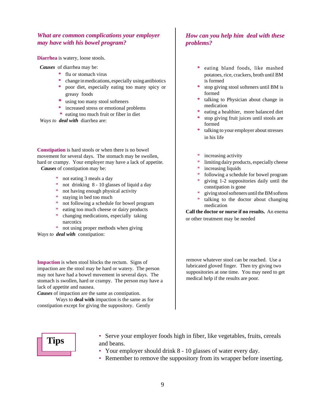#### *What are common complications your employer may have with his bowel program?*

**Diarrhea** is watery, loose stools.

*Causes* of diarrhea may be:

- **\*** flu or stomach virus
- **\*** change in medications, especially using antibiotics
- **\*** poor diet, especially eating too many spicy or greasy foods
- **\*** using too many stool softeners
- **\*** increased stress or emotional problems
- **\*** eating too much fruit or fiber in diet

*Ways to deal with* diarrhea are:

**Constipation** is hard stools or when there is no bowel movement for several days. The stomach may be swollen, hard or crampy. Your employer may have a lack of appetite. *Causes* of constipation may be:

- \* not eating 3 meals a day
- \* not drinking 8 10 glasses of liquid a day
- \* not having enough physical activity
- \* staying in bed too much
- \* not following a schedule for bowel program
- eating too much cheese or dairy products
- \* changing medications, especially taking narcotics
- \* not using proper methods when giving

*Ways to deal with* constipation:

**Impaction** is when stool blocks the rectum. Signs of impaction are the stool may be hard or watery. The person may not have had a bowel movement in several days. The stomach is swollen, hard or crampy. The person may have a lack of appetite and nausea.

*Causes* of impaction are the same as constipation.

Ways to **deal with** impaction is the same as for constipation except for giving the suppository. Gently

#### *How can you help him deal with these problems?*

- **\*** eating bland foods, like mashed potatoes, rice, crackers, broth until BM is formed
- **\*** stop giving stool softeners until BM is formed
- **\*** talking to Physician about change in medication
- **\*** eating a healthier, more balanced diet
- **\*** stop giving fruit juices until stools are formed
- **\*** talking to your employer about stresses in his life
- increasing activity
- limiting dairy products, especially cheese
- \* increasing liquids
- \* following a schedule for bowel program
- \* giving 1-2 suppositories daily until the constipation is gone
- giving stool softeners until the BM softens
- talking to the doctor about changing medication

**Call the doctor or nurse if no results.** An enema or other treatment may be needed

remove whatever stool can be reached. Use a lubricated gloved finger. Then try giving two suppositories at one time. You may need to get medical help if the results are poor.



- **Tips** Serve your employer foods high in fiber, like vegetables, fruits, cereals and beans.
	- Your employer should drink 8 10 glasses of water every day.
	- Remember to remove the suppository from its wrapper before inserting.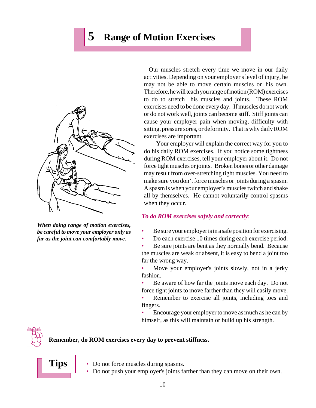# **5 Range of Motion Exercises**



*When doing range of motion exercises, be careful to move your employer only as far as the joint can comfortably move.*

 Our muscles stretch every time we move in our daily activities. Depending on your employer's level of injury, he may not be able to move certain muscles on his own. Therefore, he will teach you range of motion (ROM) exercises to do to stretch his muscles and joints. These ROM exercises need to be done every day. If muscles do not work or do not work well, joints can become stiff. Stiff joints can cause your employer pain when moving, difficulty with sitting, pressure sores, or deformity. That is why daily ROM exercises are important.

Your employer will explain the correct way for you to do his daily ROM exercises. If you notice some tightness during ROM exercises, tell your employer about it. Do not force tight muscles or joints. Broken bones or other damage may result from over-stretching tight muscles. You need to make sure you don't force muscles or joints during a spasm. A spasm is when your employer's muscles twitch and shake all by themselves. He cannot voluntarily control spasms when they occur.

#### *To do ROM exercises safely and correctly*:

- Be sure your employer is in a safe position for exercising.
- Do each exercise 10 times during each exercise period.

Be sure joints are bent as they normally bend. Because the muscles are weak or absent, it is easy to bend a joint too far the wrong way.

Move your employer's joints slowly, not in a jerky fashion.

• Be aware of how far the joints move each day. Do not force tight joints to move farther than they will easily move.

Remember to exercise all joints, including toes and fingers.

• Encourage your employer to move as much as he can by himself, as this will maintain or build up his strength.



#### **Remember, do ROM exercises every day to prevent stiffness.**

**Tips**

- Do not force muscles during spasms.
- Do not push your employer's joints farther than they can move on their own.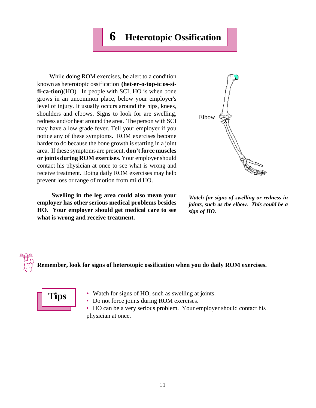## **6 Heterotopic Ossification**

While doing ROM exercises, be alert to a condition known as heterotopic ossification **(het-er-o-top-ic os-sifi-ca-tion)**(HO). In people with SCI, HO is when bone grows in an uncommon place, below your employer's level of injury. It usually occurs around the hips, knees, shoulders and elbows. Signs to look for are swelling, redness and/or heat around the area. The person with SCI may have a low grade fever. Tell your employer if you notice any of these symptoms. ROM exercises become harder to do because the bone growth is starting in a joint area. If these symptoms are present, **don't force muscles or joints during ROM exercises.** Your employer should contact his physician at once to see what is wrong and receive treatment. Doing daily ROM exercises may help prevent loss or range of motion from mild HO.

 **Swelling in the leg area could also mean your employer has other serious medical problems besides HO. Your employer should get medical care to see what is wrong and receive treatment.**



*Watch for signs of swelling or redness in joints, such as the elbow. This could be a sign of HO.*

**Remember, look for signs of heterotopic ossification when you do daily ROM exercises.**



**•** Watch for signs of HO, such as swelling at joints.

• Do not force joints during ROM exercises.

• HO can be a very serious problem. Your employer should contact his physician at once.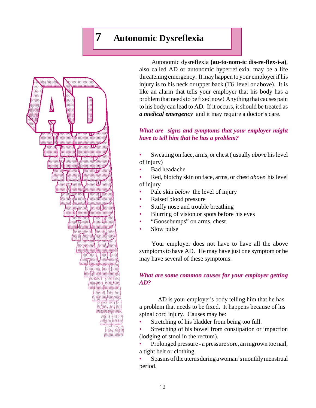# **7 Autonomic Dysreflexia**



Autonomic dysreflexia **(au-to-nom-ic dis-re-flex-i-a)**, also called AD or autonomic hyperreflexia, may be a life threatening emergency. It may happen to your employer if his injury is to his neck or upper back (T6 level or above). It is like an alarm that tells your employer that his body has a problem that needs to be fixed now! Anything that causes pain to his body can lead to AD. If it occurs, it should be treated as *a medical emergency* and it may require a doctor's care.

#### *What are signs and symptoms that your employer might have to tell him that he has a problem?*

- Sweating on face, arms, or chest ( usually *above* his level of injury)
- Bad headache
- Red, blotchy skin on face, arms, or chest *above* his level of injury
- Pale skin *below* the level of injury
- Raised blood pressure
- Stuffy nose and trouble breathing
- Blurring of vision or spots before his eyes
- "Goosebumps" on arms, chest
- Slow pulse

Your employer does not have to have all the above symptoms to have AD. He may have just one symptom or he may have several of these symptoms.

#### *What are some common causes for your employer getting AD?*

AD is your employer's body telling him that he has a problem that needs to be fixed. It happens because of his spinal cord injury. Causes may be:

Stretching of his bladder from being too full.

Stretching of his bowel from constipation or impaction (lodging of stool in the rectum).

• Prolonged pressure - a pressure sore, an ingrown toe nail, a tight belt or clothing.

• Spasms of the uterus during a woman's monthly menstrual period.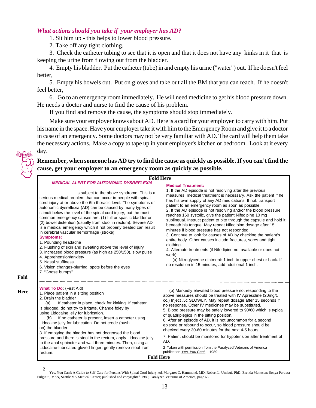#### *What actions should you take if your employer has AD?*

1. Sit him up - this helps to lower blood pressure.

2. Take off any tight clothing.

3. Check the catheter tubing to see that it is open and that it does not have any kinks in it that is keeping the urine from flowing out from the bladder.

4. Empty his bladder. Put the catheter (tube) in and empty his urine ("water") out. If he doesn't feel better,

5. Empty his bowels out. Put on gloves and take out all the BM that you can reach. If he doesn't feel better,

6. Go to an emergency room immediately. He will need medicine to get his blood pressure down. He needs a doctor and nurse to find the cause of his problem.

If you find and remove the cause, the symptoms should stop immediately.

Make sure your employer knows about AD. Here is a card for your employer to carry with him. Put his name in the space. Have your employer take it with him to the Emergency Room and give it to a doctor in case of an emergency. Some doctors may not be very familiar with AD. The card will help them take the necessary actions. Make a copy to tape up in your employer's kitchen or bedroom. Look at it every day.

**Remember, when someone has AD try to find the cause as quickly as possible. If you can't find the cause, get your employer to an emergency room as quickly as possible.**

| <b>Fold Here</b>                                                                                                                                                                                                                                                                                                                                                                                                                                                                                                                                                                                                                                                                                                                                                                                                                                                                                                       |                                                                                                                                                                                                                                                                                                                                                                                                                                                                                                                                                                                                                                                                                                                                                                                                                                                                                                                                                       |  |  |
|------------------------------------------------------------------------------------------------------------------------------------------------------------------------------------------------------------------------------------------------------------------------------------------------------------------------------------------------------------------------------------------------------------------------------------------------------------------------------------------------------------------------------------------------------------------------------------------------------------------------------------------------------------------------------------------------------------------------------------------------------------------------------------------------------------------------------------------------------------------------------------------------------------------------|-------------------------------------------------------------------------------------------------------------------------------------------------------------------------------------------------------------------------------------------------------------------------------------------------------------------------------------------------------------------------------------------------------------------------------------------------------------------------------------------------------------------------------------------------------------------------------------------------------------------------------------------------------------------------------------------------------------------------------------------------------------------------------------------------------------------------------------------------------------------------------------------------------------------------------------------------------|--|--|
| <b>MEDICAL ALERT FOR AUTONOMIC DYSREFLEXIA</b><br>is subject to the above syndrome. This is a<br>serious medical problem that can occur in people with spinal<br>cord injury at or above the 6th thoracic level. The symptoms of<br>autonomic dysreflexia (AD) can be caused by many types of<br>stimuli below the level of the spinal cord injury, but the most<br>common emergency causes are: (1) full or spastic bladder or<br>(2) bowel distention (usually from stool in rectum). Severe AD<br>is a medical emergency which if not properly treated can result<br>in cerebral vascular hemorrhage (stroke).<br><b>Symptoms:</b><br>1. Pounding headache<br>2. Flushing of skin and sweating above the level of injury<br>3. Increased blood pressure (as high as 250/150), slow pulse<br>4. Apprehension/anxiety<br>5. Nasal stuffiness<br>6. Vision changes-blurring, spots before the eyes<br>7. "Goose bumps" | <b>Medical Treatment:</b><br>1. If the AD episode is not resolving after the previous<br>measures, medical treatment is necessary. Ask the patient if he<br>has his own supply of any AD medications. If not, transport<br>patient to an emergency room as soon as possible.<br>2. If the AD episode is not resolving and/or the blood pressure<br>reaches 160 systolic, give the patient Nifedipine 10 mg<br>sublingual. Instruct patient to bite through the capsule and hold it<br>beneath his tongue. May repeat Nifedipine dosage after 15<br>minutes if blood pressure has not responded.<br>3. Continue to look for causes of AD by checking the patient's<br>entire body. Other causes include fractures, sores and tight<br>clothing.<br>4. Alternate treatments (if Nifedipine not available or does not<br>work):<br>(a) Nitroglycerine ointment: 1 inch to upper chest or back. If<br>no resolution in 15 minutes, add additional 1 inch. |  |  |
| <b>What To Do: (First Aid)</b><br>1. Place patient in a sitting position<br>2. Drain the bladder<br>If catheter in place, check for kinking. If catheter<br>(a)<br>is plugged, do not try to irrigate. Change foley by<br>using Lidocaine jelly for lubrication.<br>If no catheter is present, insert a catheter using<br>(b)<br>Lidocaine jelly for lubrication. Do not crede (push<br>on) the bladder.<br>3. If emptying the bladder has not decreased the blood<br>pressure and there is stool in the rectum, apply Lidocaine jelly<br>to the anal sphincter and wait three minutes. Then, using a<br>Lidocaine-lubricated gloved finger, gently remove stool from<br>rectum.                                                                                                                                                                                                                                       | (b) Markedly elevated blood pressure not responding to the<br>above measures should be treated with IV Apresoline (20mg/1<br>cc.) Inject .5c SLOWLY. May repeat dosage after 15 seconds if<br>no response. Other IV medicines may be substituted.<br>5. Blood pressure may be safely lowered to 90/60 which is typical<br>of quadriplegics in the sitting position.<br>6. After an episode of AD, it is not uncommon for a second<br>episode or rebound to occur, so blood pressure should be<br>checked every 30-60 minutes for the next 4-5 hours.<br>7. Patient should be monitored for hypotension after treatment of<br>AD.<br>2 Taken with permission from the Paralyzed Veterans of America<br>publication Yes, You Can! - 1989<br><b>Fold</b> Here                                                                                                                                                                                            |  |  |

2

**Fold**

**Here**

Yes, You Can!: A Guide to Self-Care for Persons With Spinal Cord Injury, ed. Margaret C. Hammond, MD; Robert L. Umlauf, PhD; Brenda Matteson; Sonya Perduta-Fulginiti, MSN, Seattle VA Medical Center; published and copyrighted 1989, Paralyzed Veterans of America, page 65.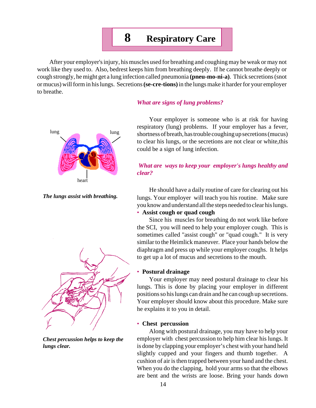# **8 Respiratory Care**

After your employer's injury, his muscles used for breathing and coughing may be weak or may not work like they used to. Also, bedrest keeps him from breathing deeply. If he cannot breathe deeply or cough strongly, he might get a lung infection called pneumonia **(pneu-mo-ni-a)**. Thick secretions (snot or mucus) will form in his lungs. Secretions **(se-cre-tions)** in the lungs make it harder for your employer to breathe.



*The lungs assist with breathing.*



*Chest percussion helps to keep the lungs clear.*

#### *What are signs of lung problems?*

Your employer is someone who is at risk for having respiratory (lung) problems. If your employer has a fever, shortness of breath, has trouble coughing up secretions (mucus) to clear his lungs, or the secretions are not clear or white,this could be a sign of lung infection.

#### *What are ways to keep your employer's lungs healthy and clear?*

He should have a daily routine of care for clearing out his lungs. Your employer will teach you his routine. Make sure you know and understand all the steps needed to clear his lungs.

#### • **Assist cough or quad cough**

Since his muscles for breathing do not work like before the SCI, you will need to help your employer cough. This is sometimes called "assist cough" or "quad cough." It is very similar to the Heimlick maneuver. Place your hands below the diaphragm and press up while your employer coughs. It helps to get up a lot of mucus and secretions to the mouth.

#### • **Postural drainage**

Your employer may need postural drainage to clear his lungs. This is done by placing your employer in different positions so his lungs can drain and he can cough up secretions. Your employer should know about this procedure. Make sure he explains it to you in detail.

#### • **Chest percussion**

Along with postural drainage, you may have to help your employer with chest percussion to help him clear his lungs. It is done by clapping your employer's chest with your hand held slightly cupped and your fingers and thumb together. A cushion of air is then trapped between your hand and the chest. When you do the clapping, hold your arms so that the elbows are bent and the wrists are loose. Bring your hands down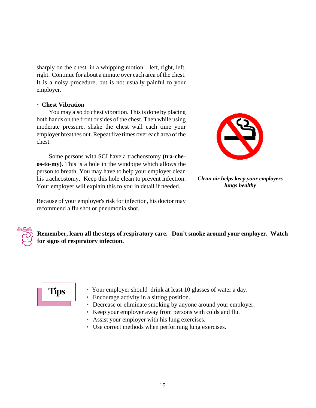sharply on the chest in a whipping motion—left, right, left, right. Continue for about a minute over each area of the chest. It is a noisy procedure, but is not usually painful to your employer.

#### • **Chest Vibration**

You may also do chest vibration. This is done by placing both hands on the front or sides of the chest. Then while using moderate pressure, shake the chest wall each time your employer breathes out. Repeat five times over each area of the chest.

Some persons with SCI have a tracheostomy **(tra-cheos-to-my)**. This is a hole in the windpipe which allows the person to breath. You may have to help your employer clean his tracheostomy. Keep this hole clean to prevent infection. Your employer will explain this to you in detail if needed.

Because of your employer's risk for infection, his doctor may recommend a flu shot or pneumonia shot.



*Clean air helps keep your employers lungs healthy*

**Remember, learn all the steps of respiratory care. Don't smoke around your employer. Watch for signs of respiratory infection.**



- Your employer should drink at least 10 glasses of water a day.
- Encourage activity in a sitting position.
- Decrease or eliminate smoking by anyone around your employer.
- Keep your employer away from persons with colds and flu.
- Assist your employer with his lung exercises.
- Use correct methods when performing lung exercises.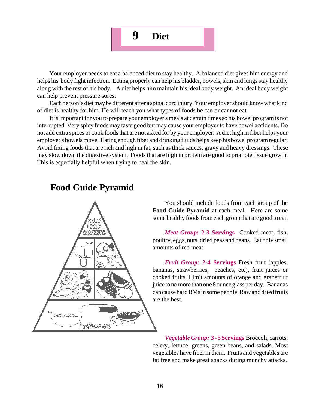

Your employer needs to eat a balanced diet to stay healthy. A balanced diet gives him energy and helps his body fight infection. Eating properly can help his bladder, bowels, skin and lungs stay healthy along with the rest of his body. A diet helps him maintain his ideal body weight. An ideal body weight can help prevent pressure sores.

Each person's diet may be different after a spinal cord injury. Your employer should know what kind of diet is healthy for him. He will teach you what types of foods he can or cannot eat.

It is important for you to prepare your employer's meals at certain times so his bowel program is not interrupted. Very spicy foods may taste good but may cause your employer to have bowel accidents. Do not add extra spices or cook foods that are not asked for by your employer. A diet high in fiber helps your employer's bowels move. Eating enough fiber and drinking fluids helps keep his bowel program regular. Avoid fixing foods that are rich and high in fat, such as thick sauces, gravy and heavy dressings. These may slow down the digestive system. Foods that are high in protein are good to promote tissue growth. This is especially helpful when trying to heal the skin.

### **Food Guide Pyramid**



You should include foods from each group of the **Food Guide Pyramid** at each meal. Here are some some healthy foods from each group that are good to eat.

*Meat Group:* **2-3 Servings** Cooked meat, fish, poultry, eggs, nuts, dried peas and beans. Eat only small amounts of red meat.

*Fruit Group:* **2-4 Servings** Fresh fruit (apples, bananas, strawberries, peaches, etc), fruit juices or cooked fruits. Limit amounts of orange and grapefruit juice to no more than one 8 ounce glass per day. Bananas can cause hard BMs in some people. Raw and dried fruits are the best.

*Vegetable Group:* **3 - 5 Servings** Broccoli, carrots, celery, lettuce, greens, green beans, and salads. Most vegetables have fiber in them. Fruits and vegetables are fat free and make great snacks during munchy attacks.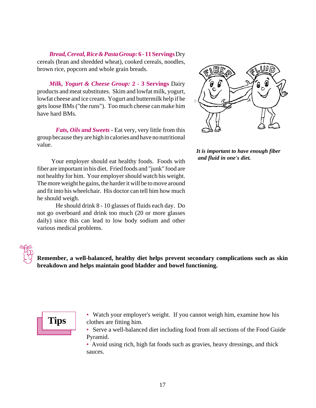*Bread, Cereal, Rice & Pasta Group:* **6 - 11 Servings** Dry cereals (bran and shredded wheat), cooked cereals, noodles, brown rice, popcorn and whole grain breads.

*Milk, Yogurt & Cheese Group:* **2 - 3 Servings** Dairy products and meat substitutes. Skim and lowfat milk, yogurt, lowfat cheese and ice cream. Yogurt and buttermilk help if he gets loose BMs ("the runs"). Too much cheese can make him have hard BMs.

*Fats, Oils and Sweets -* Eat very, very little from this group because they are high in calories and have no nutritional value.

 Your employer should eat healthy foods. Foods with fiber are important in his diet. Fried foods and "junk" food are not healthy for him. Your employer should watch his weight. The more weight he gains, the harder it will be to move around and fit into his wheelchair. His doctor can tell him how much he should weigh.

He should drink 8 - 10 glasses of fluids each day. Do not go overboard and drink too much (20 or more glasses daily) since this can lead to low body sodium and other various medical problems.



*It is important to have enough fiber and fluid in one's diet.*

**Remember, a well-balanced, healthy diet helps prevent secondary complications such as skin breakdown and helps maintain good bladder and bowel functioning.**

# **Tips**

- Watch your employer's weight. If you cannot weigh him, examine how his clothes are fitting him.
- Serve a well-balanced diet including food from all sections of the Food Guide Pyramid.

• Avoid using rich, high fat foods such as gravies, heavy dressings, and thick sauces.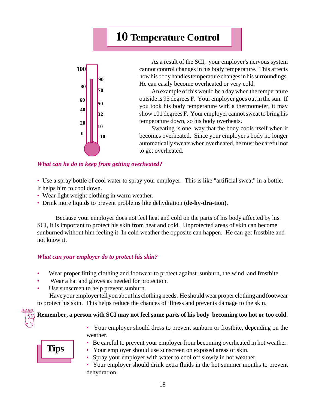# **10 Temperature Control**



As a result of the SCI, your employer's nervous system cannot control changes in his body temperature. This affects how his body handles temperature changes in his surroundings. He can easily become overheated or very cold.

An example of this would be a day when the temperature outside is 95 degrees F. Your employer goes out in the sun. If you took his body temperature with a thermometer, it may show 101 degrees F. Your employer cannot sweat to bring his temperature down, so his body overheats.

Sweating is one way that the body cools itself when it becomes overheated. Since your employer's body no longer automatically sweats when overheated, he must be careful not to get overheated.

#### *What can he do to keep from getting overheated?*

• Use a spray bottle of cool water to spray your employer. This is like "artificial sweat" in a bottle. It helps him to cool down.

- Wear light weight clothing in warm weather.
- Drink more liquids to prevent problems like dehydration **(de-hy-dra-tion)**.

Because your employer does not feel heat and cold on the parts of his body affected by his SCI, it is important to protect his skin from heat and cold. Unprotected areas of skin can become sunburned without him feeling it. In cold weather the opposite can happen. He can get frostbite and not know it.

#### *What can your employer do to protect his skin?*

- Wear proper fitting clothing and footwear to protect against sunburn, the wind, and frostbite.
- Wear a hat and gloves as needed for protection.
- Use sunscreen to help prevent sunburn.

Have your employer tell you about his clothing needs. He should wear proper clothing and footwear to protect his skin. This helps reduce the chances of illness and prevents damage to the skin.

# **Remember, a person with SCI may not feel some parts of his body becoming too hot or too cold.**



• Your employer should dress to prevent sunburn or frostbite, depending on the weather.



- Be careful to prevent your employer from becoming overheated in hot weather.
- Your employer should use sunscreen on exposed areas of skin.
- Spray your employer with water to cool off slowly in hot weather.
- Your employer should drink extra fluids in the hot summer months to prevent dehydration.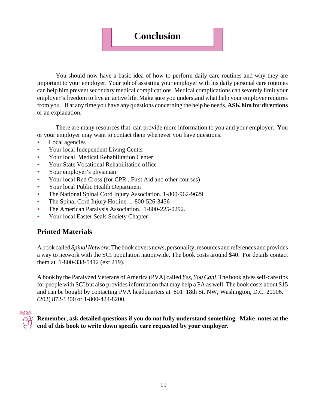### **Conclusion**

You should now have a basic idea of how to perform daily care routines and why they are important to your employer. Your job of assisting your employer with his daily personal care routines can help him prevent secondary medical complications. Medical complications can severely limit your employer's freedom to live an active life. Make sure you understand what help your employer requires from you. If at any time you have any questions concerning the help he needs, **ASK him for directions** or an explanation.

There are many resources that can provide more information to you and your employer. You or your employer may want to contact them whenever you have questions.

- Local agencies
- Your local Independent Living Center
- Your local Medical Rehabilitation Center
- Your State Vocational Rehabilitation office
- Your employer's physician
- Your local Red Cross (for CPR , First Aid and other courses)
- Your local Public Health Department
- The National Spinal Cord Injury Association. 1-800-962-9629
- The Spinal Cord Injury Hotline. 1-800-526-3456
- The American Paralysis Association. 1-800-225-0292.
- Your local Easter Seals Society Chapter

### **Printed Materials**

A book called *Spinal Network.* The book covers news, personality, resources and references and provides a way to network with the SCI population nationwide. The book costs around \$40. For details contact them at 1-800-338-5412 (ext 219).

A book by the Paralyzed Veterans of America (PVA) called *Yes, You Can!* The book gives self-care tips for people with SCI but also provides information that may help a PA as well. The book costs about \$15 and can be bought by contacting PVA headquarters at 801 18th St. NW, Washington, D.C. 20006. (202) 872-1300 or 1-800-424-8200.



**Remember, ask detailed questions if you do not fully understand something. Make notes at the end of this book to write down specific care requested by your employer.**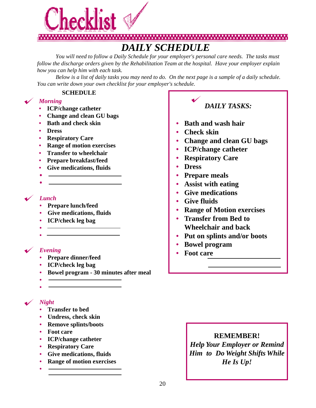

# *DAILY SCHEDULE*

*You will need to follow a Daily Schedule for your employer's personal care needs. The tasks must follow the discharge orders given by the Rehabilitation Team at the hospital. Have your employer explain how you can help him with each task.*

*Below is a list of daily tasks you may need to do. On the next page is a sample of a daily schedule. You can write down your own checklist for your employer's schedule.*

#### **SCHEDULE**

### *Morning*

- **• ICP/change catheter**
- **• Change and clean GU bags**
- **• Bath and check skin**
- **• Dress**
- **• Respiratory Care**
- **• Range of motion exercises**
- **• Transfer to wheelchair**
- **• Prepare breakfast/feed**
- **• Give medications, fluids**
- •

#### *Lunch*

- **• Prepare lunch/feed**
- **• Give medications, fluids**
- **• ICP/check leg bag**
- **•**

# **•**

### *Evening*

- **• Prepare dinner/feed**
- **• ICP/check leg bag**
- **• Bowel program 30 minutes after meal**
- **•**

#### **•**

### *Night*

**•**

- **• Transfer to bed**
- **• Undress, check skin**
- **• Remove splints/boots**
- **• Foot care**
- **• ICP/change catheter**
- **• Respiratory Care**
- **• Give medications, fluids**
- **• Range of motion exercises**

### *DAILY TASKS:*

- **• Bath and wash hair**
- **• Check skin**
- **• Change and clean GU bags**
- **• ICP/change catheter**
- **• Respiratory Care**
- **• Dress**
- **• Prepare meals**
- **• Assist with eating**
- **• Give medications**
- **• Give fluids**
- **• Range of Motion exercises**
- **• Transfer from Bed to Wheelchair and back**
- **• Put on splints and/or boots**
- **• Bowel program**
- **• Foot care**

### **REMEMBER!**

*Help Your Employer or Remind Him to Do Weight Shifts While He Is Up!*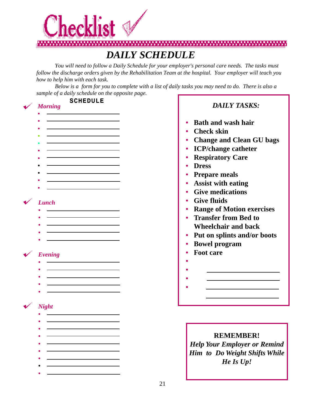

*You will need to follow a Daily Schedule for your employer's personal care needs. The tasks must follow the discharge orders given by the Rehabilitation Team at the hospital. Your employer will teach you how to help him with each task.*

*Below is a form for you to complete with a list of daily tasks you may need to do. There is also a sample of a daily schedule on the opposite page.*

#### SCHEDULE *DAILY TASKS: Morning* **•** the control of the control of the control of **• • Bath and wash hair • • Check skin** <u> 1990 - Johann Barbara, martin a</u> **• • Change and Clean GU bags • • ICP/change catheter • • Respiratory Care • • • Dress • • Prepare meals • • Assist with eating • • Give medications • Give fluids** *Lunch* **• Range of Motion exercises** <u> 1980 - Johann Barbara, martin a</u> **• • Transfer from Bed to • • Wheelchair and back** <u> 1980 - Johann Barbara, martin a</u> **• • Put on splints and/or boots • • Bowel program • Foot care** *Evening* **• • • • • • • • •** *Night* **• • • REMEMBER! • •** *Help Your Employer or Remind* **•** *Him to Do Weight Shifts While* **•** *He Is Up!* **•**

**•**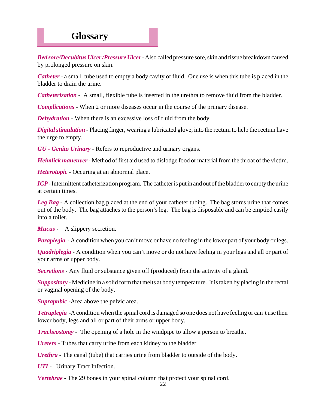## **Glossary**

*Bed sore/Decubitus Ulcer /Pressure Ulcer*-Also called pressure sore, skin and tissue breakdown caused by prolonged pressure on skin.

*Catheter* - a small tube used to empty a body cavity of fluid. One use is when this tube is placed in the bladder to drain the urine.

*Catheterization* - A small, flexible tube is inserted in the urethra to remove fluid from the bladder.

*Complications* - When 2 or more diseases occur in the course of the primary disease.

*Dehydration* - When there is an excessive loss of fluid from the body.

*Digital stimulation* - Placing finger, wearing a lubricated glove, into the rectum to help the rectum have the urge to empty.

*GU - Genito Urinary* - Refers to reproductive and urinary organs.

*Heimlick maneuver*- Method of first aid used to dislodge food or material from the throat of the victim.

*Heterotopic* - Occuring at an abnormal place.

*ICP* - Intermittent catheterization program. The catheter is put in and out of the bladder to empty the urine at certain times.

*Leg Bag* - A collection bag placed at the end of your catheter tubing. The bag stores urine that comes out of the body. The bag attaches to the person's leg. The bag is disposable and can be emptied easily into a toilet.

*Mucus -* A slippery secretion.

*Paraplegia* - A condition when you can't move or have no feeling in the lower part of your body or legs.

*Quadriplegia* - A condition when you can't move or do not have feeling in your legs and all or part of your arms or upper body.

*Secretions* - Any fluid or substance given off (produced) from the activity of a gland.

*Suppository* - Medicine in a solid form that melts at body temperature. It is taken by placing in the rectal or vaginal opening of the body.

*Suprapubic* -Area above the pelvic area.

*Tetraplegia -*A condition when the spinal cord is damaged so one does not have feeling or can't use their lower body, legs and all or part of their arms or upper body.

*Tracheostomy* - The opening of a hole in the windpipe to allow a person to breathe.

*Ureters* - Tubes that carry urine from each kidney to the bladder.

*Urethra* - The canal (tube) that carries urine from bladder to outside of the body.

*UTI* - Urinary Tract Infection.

*Vertebrae* - The 29 bones in your spinal column that protect your spinal cord.